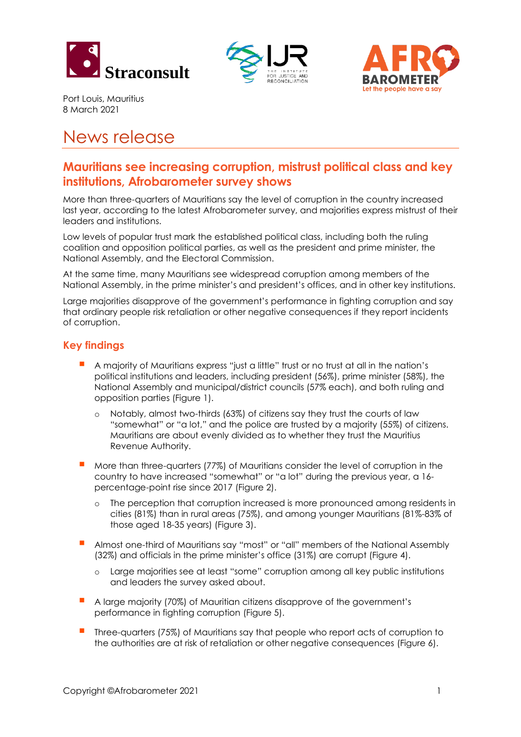





Port Louis, Mauritius 8 March 2021

# News release

# **Mauritians see increasing corruption, mistrust political class and key institutions, Afrobarometer survey shows**

More than three-quarters of Mauritians say the level of corruption in the country increased last year, according to the latest Afrobarometer survey, and majorities express mistrust of their leaders and institutions.

Low levels of popular trust mark the established political class, including both the ruling coalition and opposition political parties, as well as the president and prime minister, the National Assembly, and the Electoral Commission.

At the same time, many Mauritians see widespread corruption among members of the National Assembly, in the prime minister's and president's offices, and in other key institutions.

Large majorities disapprove of the government's performance in fighting corruption and say that ordinary people risk retaliation or other negative consequences if they report incidents of corruption.

## **Key findings**

- <sup>A</sup> majority of Mauritians express "just a little" trust or no trust at all in the nation's political institutions and leaders, including president (56%), prime minister (58%), the National Assembly and municipal/district councils (57% each), and both ruling and opposition parties (Figure 1).
	- o Notably, almost two-thirds (63%) of citizens say they trust the courts of law "somewhat" or "a lot," and the police are trusted by a majority (55%) of citizens. Mauritians are about evenly divided as to whether they trust the Mauritius Revenue Authority.
- More than three-quarters (77%) of Mauritians consider the level of corruption in the country to have increased "somewhat" or "a lot" during the previous year, a 16 percentage-point rise since 2017 (Figure 2).
	- o The perception that corruption increased is more pronounced among residents in cities (81%) than in rural areas (75%), and among younger Mauritians (81%-83% of those aged 18-35 years) (Figure 3).
- Almost one-third of Mauritians say "most" or "all" members of the National Assembly (32%) and officials in the prime minister's office (31%) are corrupt (Figure 4).
	- o Large majorities see at least "some" corruption among all key public institutions and leaders the survey asked about.
- A large majority (70%) of Mauritian citizens disapprove of the government's performance in fighting corruption (Figure 5).
- Three-quarters (75%) of Mauritians say that people who report acts of corruption to the authorities are at risk of retaliation or other negative consequences (Figure 6).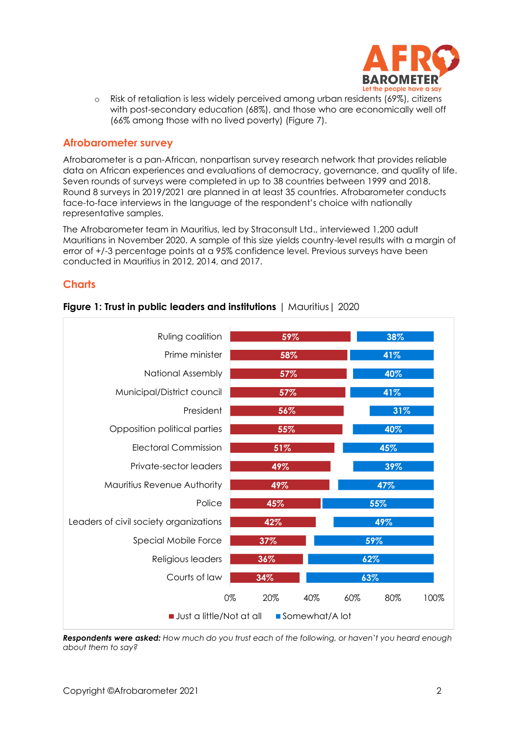

o Risk of retaliation is less widely perceived among urban residents (69%), citizens with post-secondary education (68%), and those who are economically well off (66% among those with no lived poverty) (Figure 7).

#### **Afrobarometer survey**

Afrobarometer is a pan-African, nonpartisan survey research network that provides reliable data on African experiences and evaluations of democracy, governance, and quality of life. Seven rounds of surveys were completed in up to 38 countries between 1999 and 2018. Round 8 surveys in 2019/2021 are planned in at least 35 countries. Afrobarometer conducts face-to-face interviews in the language of the respondent's choice with nationally representative samples.

The Afrobarometer team in Mauritius, led by Straconsult Ltd., interviewed 1,200 adult Mauritians in November 2020. A sample of this size yields country-level results with a margin of error of +/-3 percentage points at a 95% confidence level. Previous surveys have been conducted in Mauritius in 2012, 2014, and 2017.

## **Charts**



#### **Figure 1: Trust in public leaders and institutions** | Mauritius| 2020

*Respondents were asked: How much do you trust each of the following, or haven't you heard enough about them to say?*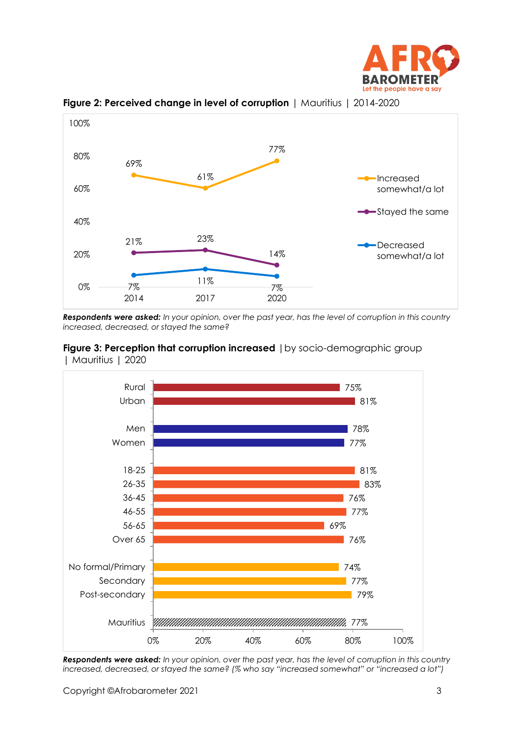



**Figure 2: Perceived change in level of corruption** | Mauritius | 2014-2020

*Respondents were asked: In your opinion, over the past year, has the level of corruption in this country increased, decreased, or stayed the same?* 





*Respondents were asked: In your opinion, over the past year, has the level of corruption in this country increased, decreased, or stayed the same? (% who say "increased somewhat" or "increased a lot")*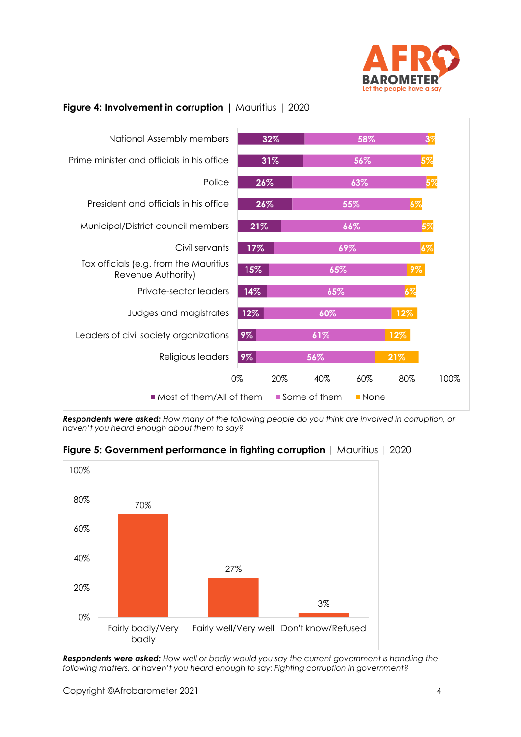

## **Figure 4: Involvement in corruption** | Mauritius | 2020



*Respondents were asked: How many of the following people do you think are involved in corruption, or haven't you heard enough about them to say?* 





*Respondents were asked: How well or badly would you say the current government is handling the following matters, or haven't you heard enough to say: Fighting corruption in government?*